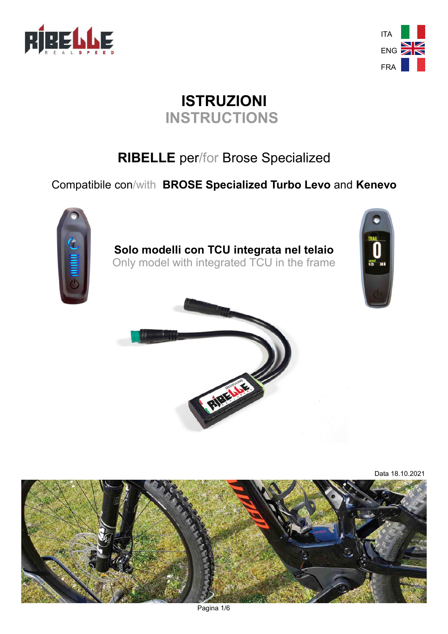



# **ISTRUZIONI INSTRUCTIONS**

# **RIBELLE** per/for Brose Specialized

## Compatibile con/with **BROSE Specialized Turbo Levo** and **Kenevo**





Data 18.10.2021

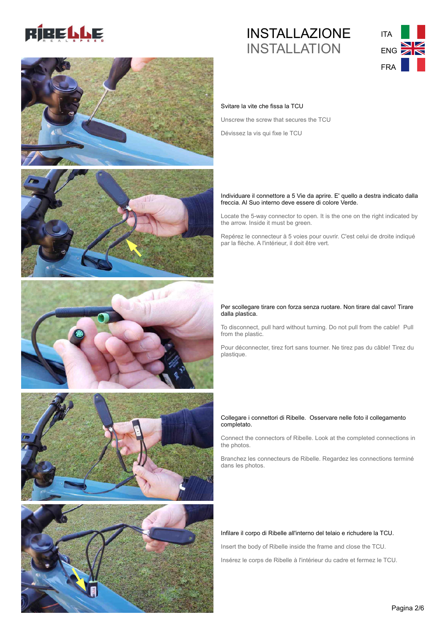











## INSTALLAZIONE INSTALLATION



#### Svitare la vite che fissa la TCU

Unscrew the screw that secures the TCU

Dévissez la vis qui fixe le TCU

#### Individuare il connettore a 5 Vie da aprire. E' quello a destra indicato dalla freccia. Al Suo interno deve essere di colore Verde.

Locate the 5-way connector to open. It is the one on the right indicated by the arrow. Inside it must be green.

Repérez le connecteur à 5 voies pour ouvrir. C'est celui de droite indiqué par la flèche. A l'intérieur, il doit être vert.

#### Per scollegare tirare con forza senza ruotare. Non tirare dal cavo! Tirare dalla plastica.

To disconnect, pull hard without turning. Do not pull from the cable! Pull from the plastic.

Pour déconnecter, tirez fort sans tourner. Ne tirez pas du câble! Tirez du plastique.

#### Collegare i connettori di Ribelle. Osservare nelle foto il collegamento completato.

Connect the connectors of Ribelle. Look at the completed connections in the photos.

Branchez les connecteurs de Ribelle. Regardez les connections terminé dans les photos.

#### Infilare il corpo di Ribelle all'interno del telaio e richudere la TCU.

Insert the body of Ribelle inside the frame and close the TCU.

Insérez le corps de Ribelle à l'intérieur du cadre et fermez le TCU.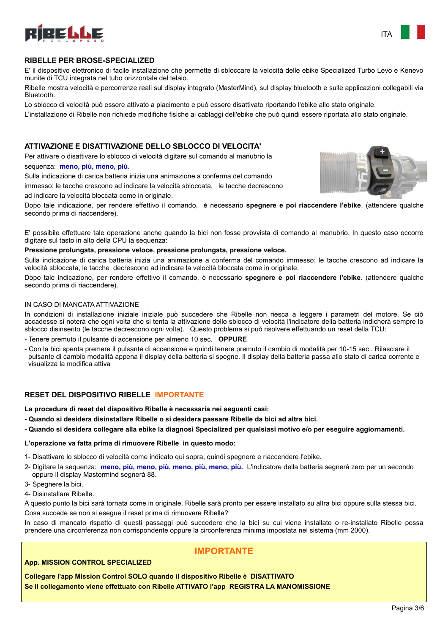

#### **RIBELLE PER BROSE-SPECIALIZED**

ad indicare la velocità bloccata come in originale.

E' il dispositivo elettronico di facile installazione che permette di sbloccare la velocità delle ebike Specialized Turbo Levo e Kenevo munite di TCU integrata nel tubo orizzontale del telaio.

Ribelle mostra velocità e percorrenze reali sul display integrato (MasterMind), sul display bluetooth e sulle applicazioni collegabili via Bluetooth.

Lo sblocco di velocità può essere attivato a piacimento e può essere disattivato riportando l'ebike allo stato originale.

L'installazione di Ribelle non richiede modifiche fisiche ai cablaggi dell'ebike che può quindi essere riportata allo stato originale.

#### **ATTIVAZIONE E DISATTIVAZIONE DELLO SBLOCCO DI VELOCITA'**

Per attivare o disattivare lo sblocco di velocità digitare sul comando al manubrio la sequenza: **meno, più, meno, più.**

Sulla indicazione di carica batteria inizia una animazione a conferma del comando immesso: le tacche crescono ad indicare la velocità sbloccata, le tacche decrescono



ITA

Dopo tale indicazione, per rendere effettivo il comando, è necessario **spegnere e poi riaccendere l'ebike**. (attendere qualche secondo prima di riaccendere).

E' possibile effettuare tale operazione anche quando la bici non fosse provvista di comando al manubrio. In questo caso occorre digitare sul tasto in alto della CPU la sequenza:

#### **Pressione prolungata, pressione veloce, pressione prolungata, pressione veloce.**

Sulla indicazione di carica batteria inizia una animazione a conferma del comando immesso: le tacche crescono ad indicare la velocità sbloccata, le tacche decrescono ad indicare la velocità bloccata come in originale.

Dopo tale indicazione, per rendere effettivo il comando, è necessario **spegnere e poi riaccendere l'ebike**. (attendere qualche secondo prima di riaccendere).

#### IN CASO DI MANCATA ATTIVAZIONE

In condizioni di installazione iniziale iniziale può succedere che Ribelle non riesca a leggere i parametri del motore. Se ciò accadesse si noterà che ogni volta che si tenta la attivazione dello sblocco di velocità l'indicatore della batteria indicherà sempre lo sblocco disinserito (le tacche decrescono ogni volta). Questo problema si può risolvere effettuando un reset della TCU:

- Tenere premuto il pulsante di accensione per almeno 10 sec. **OPPURE**

- Con la bici spenta premere il pulsante di accensione e quindi tenere premuto il cambio di modalità per 10-15 sec.. Rilasciare il pulsante di cambio modalità appena il display della batteria si spegne. Il display della batteria passa allo stato di carica corrente e visualizza la modifica attiva

#### **RESET DEL DISPOSITIVO RIBELLE IMPORTANTE**

**La procedura di reset del dispositivo Ribelle è necessaria nei seguenti casi:**

- **Quando si desidera disinstallare Ribelle o si desidera passare Ribelle da bici ad altra bici.**
- **Quando si desidera collegare alla ebike la diagnosi Specialized per qualsiasi motivo e/o per eseguire aggiornamenti.**

#### **L'operazione va fatta prima di rimuovere Ribelle in questo modo:**

- 1- Disattivare lo sblocco di velocità come indicato qui sopra, quindi spegnere e riaccendere l'ebike.
- 2- Digitare la sequenza: **meno, più, meno, più, meno, più, meno, più.** L'indicatore della batteria segnerà zero per un secondo oppure il display Mastermind segnerà 88.
- 3- Spegnere la bici.
- 4- Disinstallare Ribelle.

A questo punto la bici sarà tornata come in originale. Ribelle sarà pronto per essere installato su altra bici oppure sulla stessa bici. Cosa succede se non si esegue il reset prima di rimuovere Ribelle?

In caso di mancato rispetto di questi passaggi può succedere che la bici su cui viene installato o re-installato Ribelle possa prendere una circonferenza non corrispondente oppure la circonferenza minima impostata nel sistema (mm 2000).

**IMPORTANTE**

## **App. MISSION CONTROL SPECIALIZED**

**Collegare l'app Mission Control SOLO quando il dispositivo Ribelle è DISATTIVATO Se il collegamento viene effettuato con Ribelle ATTIVATO l'app REGISTRA LA MANOMISSIONE**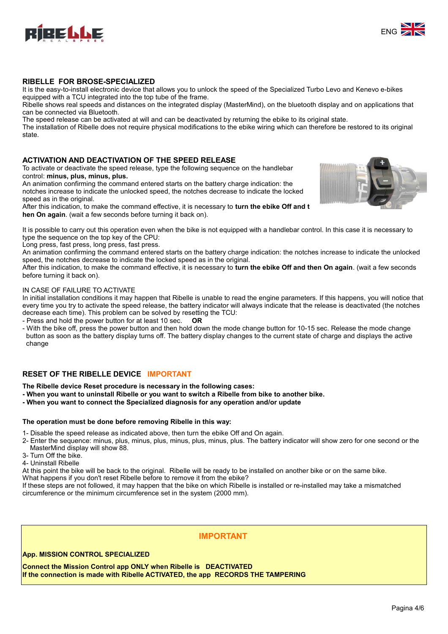



## **RIBELLE FOR BROSE-SPECIALIZED**

It is the easy-to-install electronic device that allows you to unlock the speed of the Specialized Turbo Levo and Kenevo e-bikes equipped with a TCU integrated into the top tube of the frame.

Ribelle shows real speeds and distances on the integrated display (MasterMind), on the bluetooth display and on applications that can be connected via Bluetooth.

The speed release can be activated at will and can be deactivated by returning the ebike to its original state.

The installation of Ribelle does not require physical modifications to the ebike wiring which can therefore be restored to its original state.

### **ACTIVATION AND DEACTIVATION OF THE SPEED RELEASE**

To activate or deactivate the speed release, type the following sequence on the handlebar control: **minus, plus, minus, plus.**

An animation confirming the command entered starts on the battery charge indication: the notches increase to indicate the unlocked speed, the notches decrease to indicate the locked speed as in the original.

After this indication, to make the command effective, it is necessary to **turn the ebike Off and t hen On again**. (wait a few seconds before turning it back on).

It is possible to carry out this operation even when the bike is not equipped with a handlebar control. In this case it is necessary to type the sequence on the top key of the CPU:

Long press, fast press, long press, fast press.

An animation confirming the command entered starts on the battery charge indication: the notches increase to indicate the unlocked speed, the notches decrease to indicate the locked speed as in the original.

After this indication, to make the command effective, it is necessary to **turn the ebike Off and then On again**. (wait a few seconds before turning it back on).

#### IN CASE OF FAILURE TO ACTIVATE

In initial installation conditions it may happen that Ribelle is unable to read the engine parameters. If this happens, you will notice that every time you try to activate the speed release, the battery indicator will always indicate that the release is deactivated (the notches decrease each time). This problem can be solved by resetting the TCU:

- Press and hold the power button for at least 10 sec. **OR**

- With the bike off, press the power button and then hold down the mode change button for 10-15 sec. Release the mode change button as soon as the battery display turns off. The battery display changes to the current state of charge and displays the active change

#### **RESET OF THE RIBELLE DEVICE IMPORTANT**

**The Ribelle device Reset procedure is necessary in the following cases:**

- **When you want to uninstall Ribelle or you want to switch a Ribelle from bike to another bike.**
- **When you want to connect the Specialized diagnosis for any operation and/or update**

#### **The operation must be done before removing Ribelle in this way:**

1- Disable the speed release as indicated above, then turn the ebike Off and On again.

2- Enter the sequence: minus, plus, minus, plus, minus, plus, minus, plus. The battery indicator will show zero for one second or the MasterMind display will show 88.

- 3- Turn Off the bike.
- 4- Uninstall Ribelle

At this point the bike will be back to the original. Ribelle will be ready to be installed on another bike or on the same bike.

What happens if you don't reset Ribelle before to remove it from the ebike?

If these steps are not followed, it may happen that the bike on which Ribelle is installed or re-installed may take a mismatched circumference or the minimum circumference set in the system (2000 mm).

## **IMPORTANT**

#### **App. MISSION CONTROL SPECIALIZED**

**Connect the Mission Control app ONLY when Ribelle is DEACTIVATED If the connection is made with Ribelle ACTIVATED, the app RECORDS THE TAMPERING**

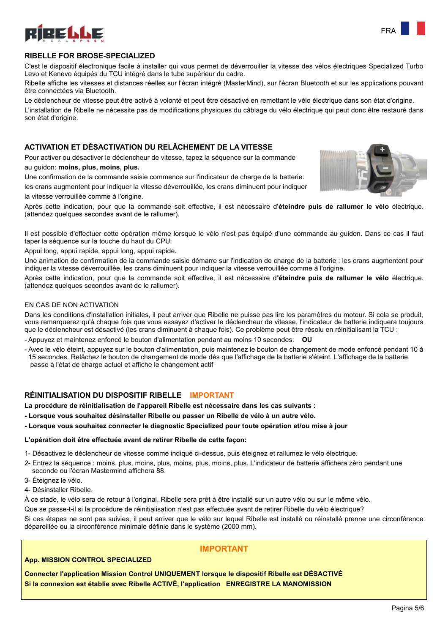

#### **RIBELLE FOR BROSE-SPECIALIZED**

C'est le dispositif électronique facile à installer qui vous permet de déverrouiller la vitesse des vélos électriques Specialized Turbo Levo et Kenevo équipés du TCU intégré dans le tube supérieur du cadre.

Ribelle affiche les vitesses et distances réelles sur l'écran intégré (MasterMind), sur l'écran Bluetooth et sur les applications pouvant être connectées via Bluetooth.

Le déclencheur de vitesse peut être activé à volonté et peut être désactivé en remettant le vélo électrique dans son état d'origine.

L'installation de Ribelle ne nécessite pas de modifications physiques du câblage du vélo électrique qui peut donc être restauré dans son état d'origine.

### **ACTIVATION ET DÉSACTIVATION DU RELÂCHEMENT DE LA VITESSE**

Pour activer ou désactiver le déclencheur de vitesse, tapez la séquence sur la commande

#### au guidon: **moins, plus, moins, plus.**

Une confirmation de la commande saisie commence sur l'indicateur de charge de la batterie: les crans augmentent pour indiquer la vitesse déverrouillée, les crans diminuent pour indiquer



Il est possible d'effectuer cette opération même lorsque le vélo n'est pas équipé d'une commande au guidon. Dans ce cas il faut taper la séquence sur la touche du haut du CPU:

Appui long, appui rapide, appui long, appui rapide.

Une animation de confirmation de la commande saisie démarre sur l'indication de charge de la batterie : les crans augmentent pour indiquer la vitesse déverrouillée, les crans diminuent pour indiquer la vitesse verrouillée comme à l'origine.

Après cette indication, pour que la commande soit effective, il est nécessaire d**'éteindre puis de rallumer le vélo** électrique. (attendez quelques secondes avant de le rallumer).

#### EN CAS DE NON ACTIVATION

Dans les conditions d'installation initiales, il peut arriver que Ribelle ne puisse pas lire les paramètres du moteur. Si cela se produit, vous remarquerez qu'à chaque fois que vous essayez d'activer le déclencheur de vitesse, l'indicateur de batterie indiquera toujours que le déclencheur est désactivé (les crans diminuent à chaque fois). Ce problème peut être résolu en réinitialisant la TCU :

- Appuyez et maintenez enfoncé le bouton d'alimentation pendant au moins 10 secondes. **OU**

- Avec le vélo éteint, appuyez sur le bouton d'alimentation, puis maintenez le bouton de changement de mode enfoncé pendant 10 à 15 secondes. Relâchez le bouton de changement de mode dès que l'affichage de la batterie s'éteint. L'affichage de la batterie passe à l'état de charge actuel et affiche le changement actif

#### **RÉINITIALISATION DU DISPOSITIF RIBELLE IMPORTANT**

**La procédure de réinitialisation de l'appareil Ribelle est nécessaire dans les cas suivants :**

- **Lorsque vous souhaitez désinstaller Ribelle ou passer un Ribelle de vélo à un autre vélo.**
- **Lorsque vous souhaitez connecter le diagnostic Specialized pour toute opération et/ou mise à jour**

#### **L'opération doit être effectuée avant de retirer Ribelle de cette façon:**

- 1- Désactivez le déclencheur de vitesse comme indiqué ci-dessus, puis éteignez et rallumez le vélo électrique.
- 2- Entrez la séquence : moins, plus, moins, plus, moins, plus, moins, plus. L'indicateur de batterie affichera zéro pendant une seconde ou l'écran Mastermind affichera 88.
- 3- Éteignez le vélo.
- 4- Désinstaller Ribelle.

À ce stade, le vélo sera de retour à l'original. Ribelle sera prêt à être installé sur un autre vélo ou sur le même vélo.

Que se passe-t-il si la procédure de réinitialisation n'est pas effectuée avant de retirer Ribelle du vélo électrique?

Si ces étapes ne sont pas suivies, il peut arriver que le vélo sur lequel Ribelle est installé ou réinstallé prenne une circonférence dépareillée ou la circonférence minimale définie dans le système (2000 mm).

## **IMPORTANT**

#### **App. MISSION CONTROL SPECIALIZED**

**Connecter l'application Mission Control UNIQUEMENT lorsque le dispositif Ribelle est DÉSACTIVÉ Si la connexion est établie avec Ribelle ACTIVÉ, l'application ENREGISTRE LA MANOMISSION**